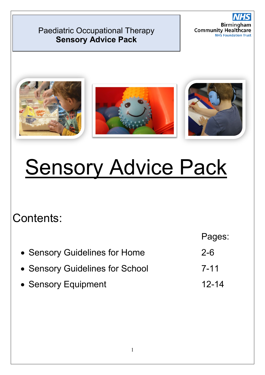



# Sensory Advice Pack

## Contents:

|                                 | Pages:    |
|---------------------------------|-----------|
| • Sensory Guidelines for Home   | $2 - 6$   |
| • Sensory Guidelines for School | $7 - 11$  |
| • Sensory Equipment             | $12 - 14$ |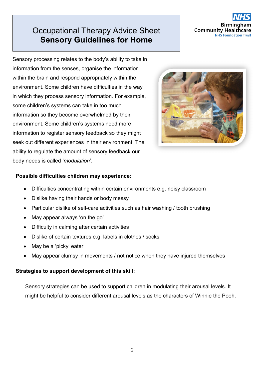## Occupational Therapy Advice Sheet **Sensory Guidelines for Home**

Birmir **Community Healthcare NHS Foundatio** 

Sensory processing relates to the body's ability to take in information from the senses, organise the information within the brain and respond appropriately within the environment. Some children have difficulties in the way in which they process sensory information. For example, some children's systems can take in too much information so they become overwhelmed by their environment. Some children's systems need more information to register sensory feedback so they might seek out different experiences in their environment. The ability to regulate the amount of sensory feedback our body needs is called '*modulation*'.



#### **Possible difficulties children may experience:**

- Difficulties concentrating within certain environments e.g. noisy classroom
- Dislike having their hands or body messy
- Particular dislike of self-care activities such as hair washing / tooth brushing
- May appear always 'on the go'
- Difficulty in calming after certain activities
- Dislike of certain textures e.g. labels in clothes / socks
- May be a 'picky' eater
- May appear clumsy in movements / not notice when they have injured themselves

#### **Strategies to support development of this skill:**

Sensory strategies can be used to support children in modulating their arousal levels. It might be helpful to consider different arousal levels as the characters of Winnie the Pooh.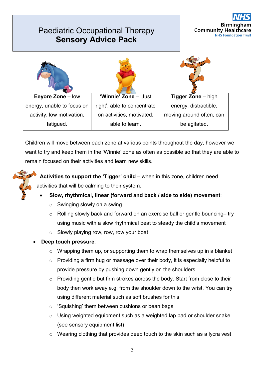

Children will move between each zone at various points throughout the day, however we want to try and keep them in the 'Winnie' zone as often as possible so that they are able to remain focused on their activities and learn new skills.

**Activities to support the 'Tigger' child** – when in this zone, children need activities that will be calming to their system.

- **Slow, rhythmical, linear (forward and back / side to side) movement**:
	- $\circ$  Swinging slowly on a swing
	- o Rolling slowly back and forward on an exercise ball or gentle bouncing– try using music with a slow rhythmical beat to steady the child's movement
	- o Slowly playing row, row, row your boat
- **Deep touch pressure**:
	- $\circ$  Wrapping them up, or supporting them to wrap themselves up in a blanket
	- o Providing a firm hug or massage over their body, it is especially helpful to provide pressure by pushing down gently on the shoulders
	- o Providing gentle but firm strokes across the body. Start from close to their body then work away e.g. from the shoulder down to the wrist. You can try using different material such as soft brushes for this
	- o 'Squishing' them between cushions or bean bags
	- o Using weighted equipment such as a weighted lap pad or shoulder snake (see sensory equipment list)
	- o Wearing clothing that provides deep touch to the skin such as a lycra vest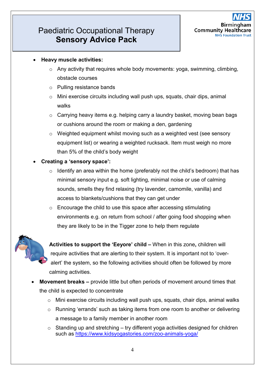- **Heavy muscle activities:** 
	- o Any activity that requires whole body movements: yoga, swimming, climbing, obstacle courses
	- o Pulling resistance bands
	- o Mini exercise circuits including wall push ups, squats, chair dips, animal walks
	- o Carrying heavy items e.g. helping carry a laundry basket, moving bean bags or cushions around the room or making a den, gardening
	- o Weighted equipment whilst moving such as a weighted vest (see sensory equipment list) or wearing a weighted rucksack. Item must weigh no more than 5% of the child's body weight
- **Creating a 'sensory space':** 
	- $\circ$  Identify an area within the home (preferably not the child's bedroom) that has minimal sensory input e.g. soft lighting, minimal noise or use of calming sounds, smells they find relaxing (try lavender, camomile, vanilla) and access to blankets/cushions that they can get under
	- o Encourage the child to use this space after accessing stimulating environments e.g. on return from school / after going food shopping when they are likely to be in the Tigger zone to help them regulate



**Activities to support the 'Eeyore' child –** When in this zone**,** children will require activities that are alerting to their system. It is important not to 'overalert' the system, so the following activities should often be followed by more calming activities.

- **Movement breaks –** provide little but often periods of movement around times that the child is expected to concentrate
	- o Mini exercise circuits including wall push ups, squats, chair dips, animal walks
	- o Running 'errands' such as taking items from one room to another or delivering a message to a family member in another room
	- $\circ$  Standing up and stretching try different yoga activities designed for children such as<https://www.kidsyogastories.com/zoo-animals-yoga/>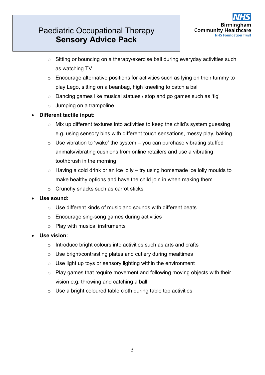- o Sitting or bouncing on a therapy/exercise ball during everyday activities such as watching TV
- o Encourage alternative positions for activities such as lying on their tummy to play Lego, sitting on a beanbag, high kneeling to catch a ball
- o Dancing games like musical statues / stop and go games such as 'tig'
- o Jumping on a trampoline
- **Different tactile input:** 
	- o Mix up different textures into activities to keep the child's system guessing e.g. using sensory bins with different touch sensations, messy play, baking
	- $\circ$  Use vibration to 'wake' the system you can purchase vibrating stuffed animals/vibrating cushions from online retailers and use a vibrating toothbrush in the morning
	- $\circ$  Having a cold drink or an ice lolly try using homemade ice lolly moulds to make healthy options and have the child join in when making them
	- o Crunchy snacks such as carrot sticks
- **Use sound:** 
	- $\circ$  Use different kinds of music and sounds with different beats
	- o Encourage sing-song games during activities
	- o Play with musical instruments
- **Use vision:** 
	- o Introduce bright colours into activities such as arts and crafts
	- o Use bright/contrasting plates and cutlery during mealtimes
	- $\circ$  Use light up toys or sensory lighting within the environment
	- o Play games that require movement and following moving objects with their vision e.g. throwing and catching a ball
	- $\circ$  Use a bright coloured table cloth during table top activities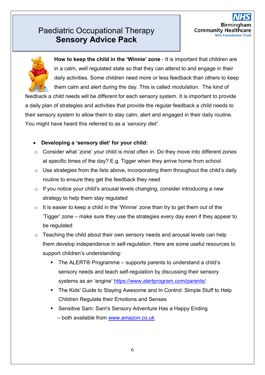

**How to keep the child in the 'Winnie' zone** - It is important that children are in a calm, well regulated state so that they can attend to and engage in their daily activities. Some children need more or less feedback than others to keep them calm and alert during the day. This is called *modulation*. The kind of

feedback a child needs will be different for each sensory system. It is important to provide a daily plan of strategies and activities that provide the regular feedback a child needs to their sensory system to allow them to stay calm, alert and engaged in their daily routine. You might have heard this referred to as a '*sensory diet'*.

#### • **Developing a 'sensory diet' for your child:**

- o Consider what 'zone' your child is most often in. Do they move into different zones at specific times of the day? E.g. Tigger when they arrive home from school
- $\circ$  Use strategies from the lists above, incorporating them throughout the child's daily routine to ensure they get the feedback they need
- o If you notice your child's arousal levels changing, consider introducing a new strategy to help them stay regulated
- $\circ$  It is easier to keep a child in the 'Winnie' zone than try to get them out of the 'Tigger' zone – make sure they use the strategies every day even if they appear to be regulated
- $\circ$  Teaching the child about their own sensory needs and arousal levels can help them develop independence in self-regulation. Here are some useful resources to support children's understanding:
	- The ALERT® Programme supports parents to understand a child's sensory needs and teach self-regulation by discussing their sensory systems as an 'engine'<https://www.alertprogram.com/parents/>
	- The Kids' Guide to Staying Awesome and In Control: Simple Stuff to Help Children Regulate their Emotions and Senses
	- Sensitive Sam: Sam's Sensory Adventure Has a Happy Ending – both available from [www.amazon.co.uk](http://www.amazon.co.uk/)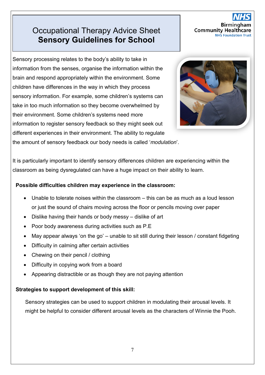## Occupational Therapy Advice Sheet **Sensory Guidelines for School**

Sensory processing relates to the body's ability to take in information from the senses, organise the information within the brain and respond appropriately within the environment. Some children have differences in the way in which they process sensory information. For example, some children's systems can take in too much information so they become overwhelmed by their environment. Some children's systems need more information to register sensory feedback so they might seek out different experiences in their environment. The ability to regulate the amount of sensory feedback our body needs is called '*modulation*'.



**Birmin Community Healthcare** 

**NHS Foundation Trust** 

It is particularly important to identify sensory differences children are experiencing within the classroom as being dysregulated can have a huge impact on their ability to learn.

#### **Possible difficulties children may experience in the classroom:**

- Unable to tolerate noises within the classroom this can be as much as a loud lesson or just the sound of chairs moving across the floor or pencils moving over paper
- Dislike having their hands or body messy dislike of art
- Poor body awareness during activities such as P.E
- May appear always 'on the go' unable to sit still during their lesson / constant fidgeting
- Difficulty in calming after certain activities
- Chewing on their pencil / clothing
- Difficulty in copying work from a board
- Appearing distractible or as though they are not paying attention

#### **Strategies to support development of this skill:**

Sensory strategies can be used to support children in modulating their arousal levels. It might be helpful to consider different arousal levels as the characters of Winnie the Pooh.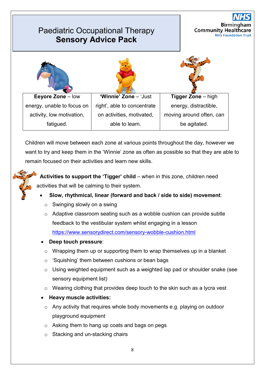

Children will move between each zone at various points throughout the day, however we want to try and keep them in the 'Winnie' zone as often as possible so that they are able to remain focused on their activities and learn new skills.



**Activities to support the 'Tigger' child** – when in this zone, children need activities that will be calming to their system.

- **Slow, rhythmical, linear (forward and back / side to side) movement**:
	- $\circ$  Swinging slowly on a swing
	- o Adaptive classroom seating such as a wobble cushion can provide subtle feedback to the vestibular system whilst engaging in a lesson <https://www.sensorydirect.com/sensory-wobble-cushion.html>
- **Deep touch pressure**:
	- $\circ$  Wrapping them up or supporting them to wrap themselves up in a blanket
- o 'Squishing' them between cushions or bean bags
- o Using weighted equipment such as a weighted lap pad or shoulder snake (see sensory equipment list)
- o Wearing clothing that provides deep touch to the skin such as a lycra vest
- **Heavy muscle activities:**
- o Any activity that requires whole body movements e.g. playing on outdoor playground equipment
- $\circ$  Asking them to hang up coats and bags on pegs
- o Stacking and un-stacking chairs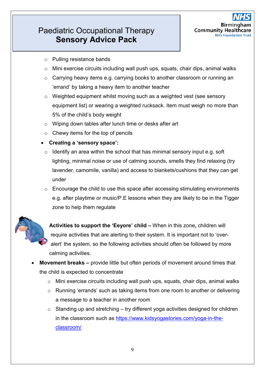- o Pulling resistance bands
- $\circ$  Mini exercise circuits including wall push ups, squats, chair dips, animal walks
- o Carrying heavy items e.g. carrying books to another classroom or running an 'errand' by taking a heavy item to another teacher
- o Weighted equipment whilst moving such as a weighted vest (see sensory equipment list) or wearing a weighted rucksack. Item must weigh no more than 5% of the child's body weight
- o Wiping down tables after lunch time or desks after art
- $\circ$  Chewy items for the top of pencils
- **Creating a 'sensory space':**
- $\circ$  Identify an area within the school that has minimal sensory input e.g. soft lighting, minimal noise or use of calming sounds, smells they find relaxing (try lavender, camomile, vanilla) and access to blankets/cushions that they can get under
- $\circ$  Encourage the child to use this space after accessing stimulating environments e.g. after playtime or music/P.E lessons when they are likely to be in the Tigger zone to help them regulate



**Activities to support the 'Eeyore' child –** When in this zone**,** children will require activities that are alerting to their system. It is important not to 'overalert' the system, so the following activities should often be followed by more calming activities.

- **Movement breaks –** provide little but often periods of movement around times that the child is expected to concentrate
	- $\circ$  Mini exercise circuits including wall push ups, squats, chair dips, animal walks
	- o Running 'errands' such as taking items from one room to another or delivering a message to a teacher in another room
	- $\circ$  Standing up and stretching try different yoga activities designed for children in the classroom such as [https://www.kidsyogastories.com/yoga-in-the](https://www.kidsyogastories.com/yoga-in-the-classroom/)[classroom/](https://www.kidsyogastories.com/yoga-in-the-classroom/)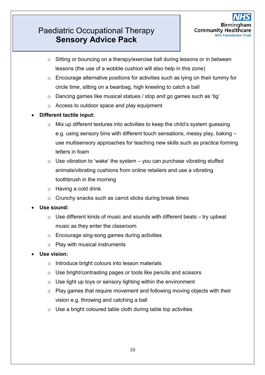- o Sitting or bouncing on a therapy/exercise ball during lessons or in between lessons (the use of a wobble cushion will also help in this zone)
- $\circ$  Encourage alternative positions for activities such as lying on their tummy for circle time, sitting on a beanbag, high kneeling to catch a ball
- o Dancing games like musical statues / stop and go games such as 'tig'
- o Access to outdoor space and play equipment
- **Different tactile input:** 
	- o Mix up different textures into activities to keep the child's system guessing e.g. using sensory bins with different touch sensations, messy play, baking – use multisensory approaches for teaching new skills such as practice forming letters in foam
	- $\circ$  Use vibration to 'wake' the system you can purchase vibrating stuffed animals/vibrating cushions from online retailers and use a vibrating toothbrush in the morning
	- o Having a cold drink
	- o Crunchy snacks such as carrot sticks during break times
- **Use sound:** 
	- $\circ$  Use different kinds of music and sounds with different beats try upbeat music as they enter the classroom
	- o Encourage sing-song games during activities
	- o Play with musical instruments
- **Use vision:** 
	- o Introduce bright colours into lesson materials
	- o Use bright/contrasting pages or tools like pencils and scissors
	- $\circ$  Use light up toys or sensory lighting within the environment
	- o Play games that require movement and following moving objects with their vision e.g. throwing and catching a ball
	- $\circ$  Use a bright coloured table cloth during table top activities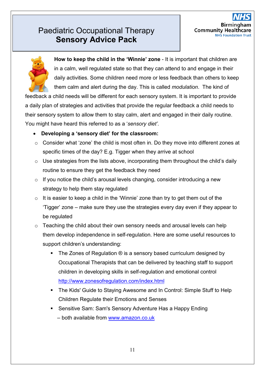

**How to keep the child in the 'Winnie' zone** - It is important that children are in a calm, well regulated state so that they can attend to and engage in their daily activities. Some children need more or less feedback than others to keep them calm and alert during the day. This is called *modulation*. The kind of

feedback a child needs will be different for each sensory system. It is important to provide a daily plan of strategies and activities that provide the regular feedback a child needs to their sensory system to allow them to stay calm, alert and engaged in their daily routine. You might have heard this referred to as a '*sensory diet'*.

- **Developing a 'sensory diet' for the classroom:**
- $\circ$  Consider what 'zone' the child is most often in. Do they move into different zones at specific times of the day? E.g. Tigger when they arrive at school
- $\circ$  Use strategies from the lists above, incorporating them throughout the child's daily routine to ensure they get the feedback they need
- o If you notice the child's arousal levels changing, consider introducing a new strategy to help them stay regulated
- $\circ$  It is easier to keep a child in the 'Winnie' zone than try to get them out of the 'Tigger' zone – make sure they use the strategies every day even if they appear to be regulated
- $\circ$  Teaching the child about their own sensory needs and arousal levels can help them develop independence in self-regulation. Here are some useful resources to support children's understanding:
	- $\blacksquare$  The Zones of Regulation  $\odot$  is a sensory based curriculum designed by Occupational Therapists that can be delivered by teaching staff to support children in developing skills in self-regulation and emotional control <http://www.zonesofregulation.com/index.html>
	- The Kids' Guide to Staying Awesome and In Control: Simple Stuff to Help Children Regulate their Emotions and Senses
	- Sensitive Sam: Sam's Sensory Adventure Has a Happy Ending – both available from [www.amazon.co.uk](http://www.amazon.co.uk/)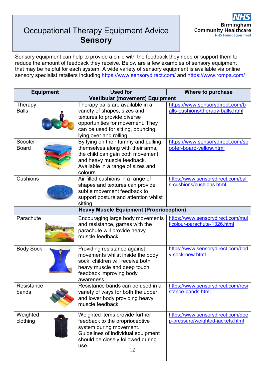## Occupational Therapy Equipment Advice **Sensory Advice Package Package Package Package Package Package Package Package Package Package Package Package Pack**



Sensory equipment can help to provide a child with the feedback they need or support them to reduce the amount of feedback they receive. Below are a few examples of sensory equipment that may be helpful for each system. A wide variety of sensory equipment is available via online sensory specialist retailers including<https://www.sensorydirect.com/> and<https://www.rompa.com/>

| <b>Equipment</b>                               | <b>Used for</b>                                                                                                                                                                                      | Where to purchase                                                     |  |  |
|------------------------------------------------|------------------------------------------------------------------------------------------------------------------------------------------------------------------------------------------------------|-----------------------------------------------------------------------|--|--|
| <b>Vestibular (movement) Equipment</b>         |                                                                                                                                                                                                      |                                                                       |  |  |
| Therapy<br><b>Balls</b><br>Scooter             | Therapy balls are available in a<br>variety of shapes, sizes and<br>textures to provide diverse<br>opportunities for movement. They<br>can be used for sitting, bouncing,<br>lying over and rolling. | https://www.sensorydirect.com/b<br>alls-cushions/therapy-balls.html   |  |  |
| <b>Board</b>                                   | By lying on their tummy and pulling<br>themselves along with their arms,<br>the child can gain both movement<br>and heavy muscle feedback.<br>Available in a range of sizes and<br>colours.          | https://www.sensorydirect.com/sc<br>ooter-board-yellow.html           |  |  |
| Cushions                                       | Air filled cushions in a range of<br>shapes and textures can provide<br>subtle movement feedback to<br>support posture and attention whilst<br>sitting.                                              | https://www.sensorydirect.com/ball<br>s-cushions/cushions.html        |  |  |
| <b>Heavy Muscle Equipment (Proprioception)</b> |                                                                                                                                                                                                      |                                                                       |  |  |
| Parachute                                      | Encouraging large body movements<br>and resistance, games with the<br>parachute will provide heavy<br>muscle feedback.                                                                               | https://www.sensorydirect.com/mul<br>ticolour-parachute-1326.html     |  |  |
| <b>Body Sock</b>                               | Providing resistance against<br>movements whilst inside the body<br>sock, children will receive both<br>heavy muscle and deep touch<br>feedback improving body<br>awareness.                         | https://www.sensorydirect.com/bod<br>y-sock-new.html                  |  |  |
| Resistance<br>bands                            | Resistance bands can be used in a<br>variety of ways for both the upper<br>and lower body providing heavy<br>muscle feedback.                                                                        | https://www.sensorydirect.com/resi<br>stance-bands.html               |  |  |
| Weighted<br>clothing                           | Weighted items provide further<br>feedback to the proprioceptive<br>system during movement.<br>Guidelines of individual equipment<br>should be closely followed during<br>use.<br>12                 | https://www.sensorydirect.com/dee<br>p-pressure/weighted-jackets.html |  |  |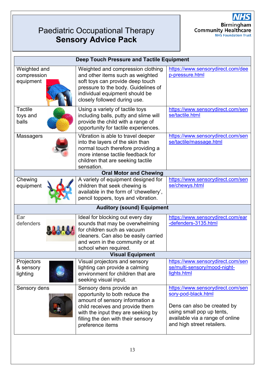

| Deep Touch Pressure and Tactile Equipment |                                                                                                                                                                                                                                 |                                                                                                                                                                                       |  |  |  |
|-------------------------------------------|---------------------------------------------------------------------------------------------------------------------------------------------------------------------------------------------------------------------------------|---------------------------------------------------------------------------------------------------------------------------------------------------------------------------------------|--|--|--|
| Weighted and<br>compression<br>equipment  | Weighted and compression clothing<br>and other items such as weighted<br>soft toys can provide deep touch<br>pressure to the body. Guidelines of<br>individual equipment should be<br>closely followed during use.              | https://www.sensorydirect.com/dee<br>p-pressure.html                                                                                                                                  |  |  |  |
| <b>Tactile</b><br>toys and<br>balls       | Using a variety of tactile toys<br>including balls, putty and slime will<br>provide the child with a range of<br>opportunity for tactile experiences.                                                                           | https://www.sensorydirect.com/sen<br>se/tactile.html                                                                                                                                  |  |  |  |
| <b>Massagers</b>                          | Vibration is able to travel deeper<br>into the layers of the skin than<br>normal touch therefore providing a<br>more intense tactile feedback for<br>children that are seeking tactile<br>sensation.                            | https://www.sensorydirect.com/sen<br>se/tactile/massage.html                                                                                                                          |  |  |  |
| <b>Oral Motor and Chewing</b>             |                                                                                                                                                                                                                                 |                                                                                                                                                                                       |  |  |  |
| Chewing<br>equipment                      | A variety of equipment designed for<br>children that seek chewing is<br>available in the form of 'chewellery',<br>pencil toppers, toys and vibration.                                                                           | https://www.sensorydirect.com/sen<br>se/chewys.html                                                                                                                                   |  |  |  |
| <b>Auditory (sound) Equipment</b>         |                                                                                                                                                                                                                                 |                                                                                                                                                                                       |  |  |  |
| Ear<br>defenders                          | Ideal for blocking out every day<br>sounds that may be overwhelming<br>for children such as vacuum<br>cleaners. Can also be easily carried<br>and worn in the community or at<br>school when required.                          | https://www.sensorydirect.com/ear<br>-defenders-3135.html                                                                                                                             |  |  |  |
|                                           | <b>Visual Equipment</b>                                                                                                                                                                                                         |                                                                                                                                                                                       |  |  |  |
| Projectors<br>& sensory<br>lighting       | Visual projectors and sensory<br>lighting can provide a calming<br>environment for children that are<br>seeking visual input.                                                                                                   | https://www.sensorydirect.com/sen<br>se/multi-sensory/mood-night-<br>lights.html                                                                                                      |  |  |  |
| Sensory dens                              | Sensory dens provide an<br>opportunity to both reduce the<br>amount of sensory information a<br>child receives and provide them<br>with the input they are seeking by<br>filling the den with their sensory<br>preference items | https://www.sensorydirect.com/sen<br>sory-pod-black.html<br>Dens can also be created by<br>using small pop up tents,<br>available via a range of online<br>and high street retailers. |  |  |  |